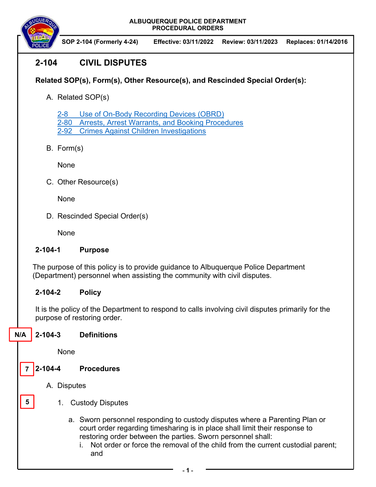**ALBUQUERQUE POLICE DEPARTMENT PROCEDURAL ORDERS** 



 **SOP 2-104 (Formerly 4-24) Effective: 03/11/2022 Review: 03/11/2023 Replaces: 01/14/2016**

# **2-104 CIVIL DISPUTES**

## **Related SOP(s), Form(s), Other Resource(s), and Rescinded Special Order(s):**

A. Related SOP(s)

2-8 Use of On-Body Recording Devices (OBRD) 2-80 Arrests, Arrest Warrants, and Booking Procedures

2-92 Crimes Against Children Investigations

B. Form(s)

None

C. Other Resource(s)

None

D. Rescinded Special Order(s)

None

### **2-104-1 Purpose**

The purpose of this policy is to provide guidance to Albuquerque Police Department (Department) personnel when assisting the community with civil disputes.

### **2-104-2 Policy**

It is the policy of the Department to respond to calls involving civil disputes primarily for the purpose of restoring order.

**2-104-3 Definitions N/A** 

None

**2-104-4 Procedures 7** 

**5** 

- A. Disputes
	- 1. Custody Disputes
		- a. Sworn personnel responding to custody disputes where a Parenting Plan or court order regarding timesharing is in place shall limit their response to restoring order between the parties. Sworn personnel shall:
			- i. Not order or force the removal of the child from the current custodial parent; and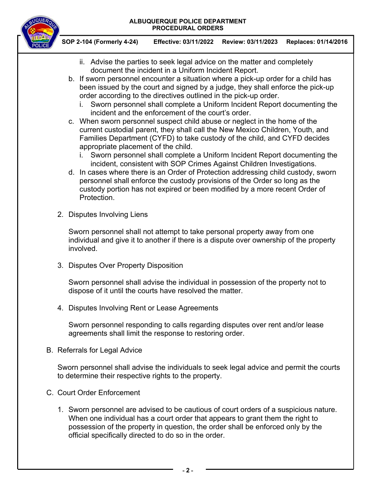#### **ALBUQUERQUE POLICE DEPARTMENT PROCEDURAL ORDERS**



 **SOP 2-104 (Formerly 4-24) Effective: 03/11/2022 Review: 03/11/2023 Replaces: 01/14/2016**

- ii. Advise the parties to seek legal advice on the matter and completely document the incident in a Uniform Incident Report.
- b. If sworn personnel encounter a situation where a pick-up order for a child has been issued by the court and signed by a judge, they shall enforce the pick-up order according to the directives outlined in the pick-up order.
	- i. Sworn personnel shall complete a Uniform Incident Report documenting the incident and the enforcement of the court's order.
- c. When sworn personnel suspect child abuse or neglect in the home of the current custodial parent, they shall call the New Mexico Children, Youth, and Families Department (CYFD) to take custody of the child, and CYFD decides appropriate placement of the child.
	- i. Sworn personnel shall complete a Uniform Incident Report documenting the incident, consistent with SOP Crimes Against Children Investigations.
- d. In cases where there is an Order of Protection addressing child custody, sworn personnel shall enforce the custody provisions of the Order so long as the custody portion has not expired or been modified by a more recent Order of Protection.
- 2. Disputes Involving Liens

Sworn personnel shall not attempt to take personal property away from one individual and give it to another if there is a dispute over ownership of the property involved.

3. Disputes Over Property Disposition

Sworn personnel shall advise the individual in possession of the property not to dispose of it until the courts have resolved the matter.

4. Disputes Involving Rent or Lease Agreements

Sworn personnel responding to calls regarding disputes over rent and/or lease agreements shall limit the response to restoring order.

B. Referrals for Legal Advice

Sworn personnel shall advise the individuals to seek legal advice and permit the courts to determine their respective rights to the property.

- C. Court Order Enforcement
	- 1. Sworn personnel are advised to be cautious of court orders of a suspicious nature. When one individual has a court order that appears to grant them the right to possession of the property in question, the order shall be enforced only by the official specifically directed to do so in the order.